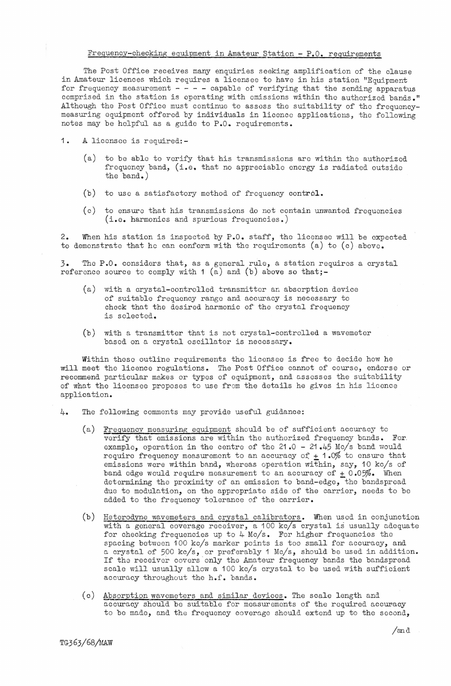## Frequency-checking equipment in Amateur Station - P.O. requirements

The Post Office receives many enquiries seeking amplification of the clause in Amateur licences which requires a licensee to have in his station "Equipment for frequency measurement  $- - - -$  capable of verifying that the sending apparatus comprised in the station is operating with emissions within the authorized bands." Although the Post Office must continue to assess the suitability of the frequencymeasuring equipment offered by individuals in licence applications, the following notes may be helpful as a guide to P.O. requirements.

## 1. A licensee is required:-

- (a) to be able to verify that his transmissions arc within the authorized frequency band, (i.e. that no appreciable energy is radiated outside the band.)
- (b) to use a satisfactory method of frequency control.
- (c) to ensure that his transmissions do not contain unwanted frequencies (i.e. harmonics and spurious frequencies.)

2. When his station is inspected by P.O. staff, the licensee will be expected to demonstrate that he can conform with the requirements (a) to (c) above.

*3.* The P.O. considers that, as a general rule, a station r equires a crystal reference source to comply with  $1$  (a) and (b) above so that;-

- $(a)$  with a crystal-controlled transmitter an absorption device of suitable frequency range and accuracy is necessary to chock that the desired harmonic of the crystal frequency is selected.
- (b) with a transmitter that is not crystal-controlled a wavemeter based on a crystal oscillator is necessary.

**Within** these outline requirements the licensee is free to decide how he **will** meet the licence regulations. The Post Office cannot of course, endorse or recommend particular makes or types of equipment, and assesses the suitability of what the licensee proposes to use from the details he gives in his licence application.

- 4. The following comments may provide useful guidance:
	- (a) Frequency measuring equipment should be of sufficient accuracy to verify that emissions are within the authorized frequency bands. For. example, operation in the centre of the 21.0 - 21.45 Mc/s band would require frequency measurement to an accuracy of  $\pm$  1.0% to ensure that emissions were within band, whereas operation within, say, 10 kc/s of band edge would require measurement to an accuracy of  $\pm$  0.05%. When determining the proximity of an emission to band-edge, the bandspread due to modulation, on the appropriate side of the carrier, needs to be added to the frequency tolerance of the carrier.
	- (b) Heterodyne wavemeters and crystal calibrators. When used in conjunction with a general coverage receiver, a 100 kc/s crystal is usually adequate for checking frequencies up to 4 Mc/s. For higher frequencies the spacing between 100 kc/s marker points is too small for accuracy, and a crystal of 500 kc/s, or preferably 1 Mc/s, should be used in addition. If the receiver covers only the Amateur frequency bands the bandspread scale will usually allow a 100 kc/s crystal to be used with sufficient accuracy throughout the h.f. bands.
	- (c) Absorption wavemeters and similar devices. The scale length and accuracy should be suitable for measurements of the required accuracy to be made, and the frequency coverage should extend up to the second,